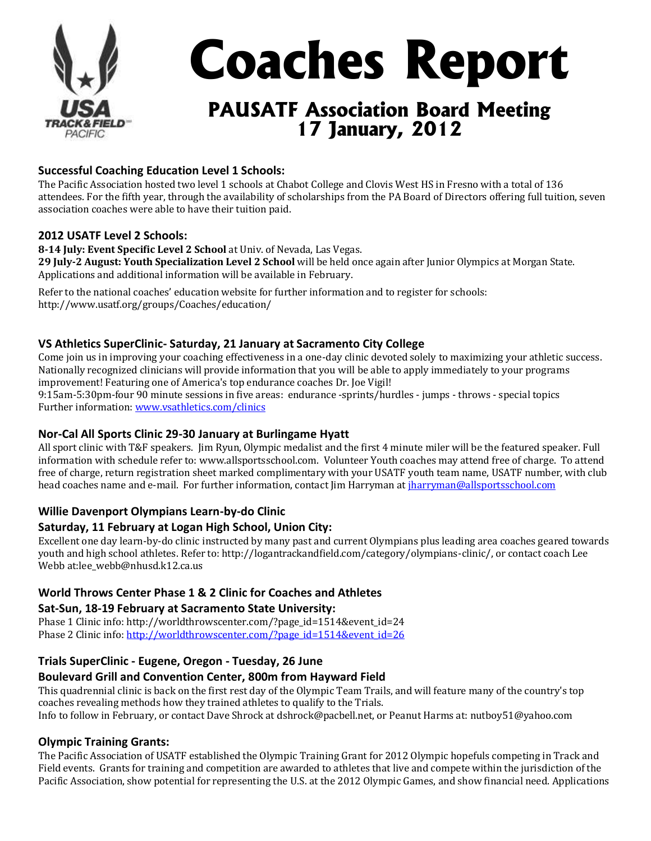

# **Successful Coaching Education Level 1 Schools:**

The Pacific Association hosted two level 1 schools at Chabot College and Clovis West HS in Fresno with a total of 136 attendees. For the fifth year, through the availability of scholarships from the PA Board of Directors offering full tuition, seven association coaches were able to have their tuition paid.

#### **2012 USATF Level 2 Schools:**

**8-14 July: Event Specific Level 2 School** at Univ. of Nevada, Las Vegas. **29 July-2 August: Youth Specialization Level 2 School** will be held once again after Junior Olympics at Morgan State. Applications and additional information will be available in February.

Refer to the national coaches' education website for further information and to register for schools: http://www.usatf.org/groups/Coaches/education/

# **VS Athletics SuperClinic- Saturday, 21 January at Sacramento City College**

Come join us in improving your coaching effectiveness in a one-day clinic devoted solely to maximizing your athletic success. Nationally recognized clinicians will provide information that you will be able to apply immediately to your programs improvement! Featuring one of America's top endurance coaches Dr. Joe Vigil! 9:15am-5:30pm-four 90 minute sessions in five areas: endurance -sprints/hurdles - jumps - throws - special topics

Further information: [www.vsathletics.com/clinics](https://www.vsathletics.com/clinics)

## **Nor-Cal All Sports Clinic 29-30 January at Burlingame Hyatt**

All sport clinic with T&F speakers. Jim Ryun, Olympic medalist and the first 4 minute miler will be the featured speaker. Full information with schedule refer to: www.allsportsschool.com. Volunteer Youth coaches may attend free of charge. To attend free of charge, return registration sheet marked complimentary with your USATF youth team name, USATF number, with club head coaches name and e-mail. For further information, contact Jim Harryman at [jharryman@allsportsschool.com](mailto:jharryman@allsportsschool.com)

## **Willie Davenport Olympians Learn-by-do Clinic**

## **Saturday, 11 February at Logan High School, Union City:**

Excellent one day learn-by-do clinic instructed by many past and current Olympians plus leading area coaches geared towards youth and high school athletes. Refer to: http://logantrackandfield.com/category/olympians-clinic/, or contact coach Lee Webb at:lee\_webb@nhusd.k12.ca.us

## **World Throws Center Phase 1 & 2 Clinic for Coaches and Athletes**

## **Sat-Sun, 18-19 February at Sacramento State University:**

Phase 1 Clinic info: http://worldthrowscenter.com/?page\_id=1514&event\_id=24 Phase 2 Clinic info: [http://worldthrowscenter.com/?page\\_id=1514&event\\_id=26](https://worldthrowscenter.com/?page_id=1514&event_id=26)

## **Trials SuperClinic - Eugene, Oregon - Tuesday, 26 June**

## **Boulevard Grill and Convention Center, 800m from Hayward Field**

This quadrennial clinic is back on the first rest day of the Olympic Team Trails, and will feature many of the country's top coaches revealing methods how they trained athletes to qualify to the Trials. Info to follow in February, or contact Dave Shrock at dshrock@pacbell.net, or Peanut Harms at: nutboy51@yahoo.com

**Olympic Training Grants:** The Pacific Association of USATF established the Olympic Training Grant for 2012 Olympic hopefuls competing in Track and Field events. Grants for training and competition are awarded to athletes that live and compete within the jurisdiction of the Pacific Association, show potential for representing the U.S. at the 2012 Olympic Games, and show financial need. Applications